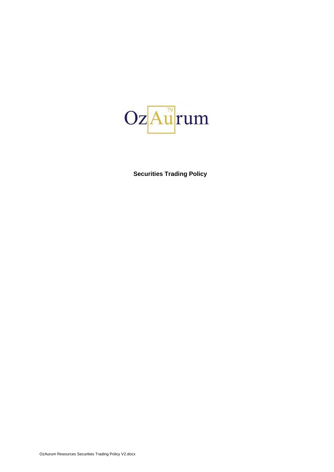

**Securities Trading Policy**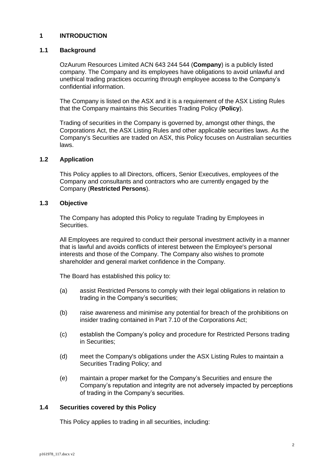# **1 INTRODUCTION**

# **1.1 Background**

OzAurum Resources Limited ACN 643 244 544 (**Company**) is a publicly listed company. The Company and its employees have obligations to avoid unlawful and unethical trading practices occurring through employee access to the Company's confidential information.

The Company is listed on the ASX and it is a requirement of the ASX Listing Rules that the Company maintains this Securities Trading Policy (**Policy**).

Trading of securities in the Company is governed by, amongst other things, the Corporations Act, the ASX Listing Rules and other applicable securities laws. As the Company's Securities are traded on ASX, this Policy focuses on Australian securities laws.

### <span id="page-1-0"></span>**1.2 Application**

This Policy applies to all Directors, officers, Senior Executives, employees of the Company and consultants and contractors who are currently engaged by the Company (**Restricted Persons**).

#### **1.3 Objective**

The Company has adopted this Policy to regulate Trading by Employees in Securities.

All Employees are required to conduct their personal investment activity in a manner that is lawful and avoids conflicts of interest between the Employee's personal interests and those of the Company. The Company also wishes to promote shareholder and general market confidence in the Company.

The Board has established this policy to:

- (a) assist Restricted Persons to comply with their legal obligations in relation to trading in the Company's securities;
- (b) raise awareness and minimise any potential for breach of the prohibitions on insider trading contained in Part 7.10 of the Corporations Act;
- (c) establish the Company's policy and procedure for Restricted Persons trading in Securities;
- (d) meet the Company's obligations under the ASX Listing Rules to maintain a Securities Trading Policy; and
- (e) maintain a proper market for the Company's Securities and ensure the Company's reputation and integrity are not adversely impacted by perceptions of trading in the Company's securities.

#### **1.4 Securities covered by this Policy**

This Policy applies to trading in all securities, including: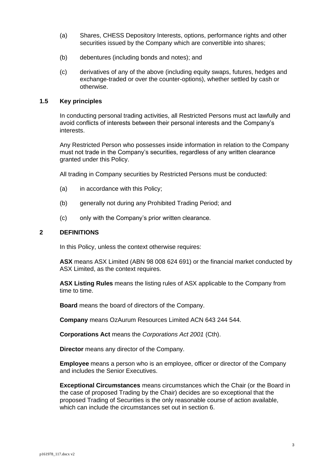- (a) Shares, CHESS Depository Interests, options, performance rights and other securities issued by the Company which are convertible into shares;
- (b) debentures (including bonds and notes); and
- (c) derivatives of any of the above (including equity swaps, futures, hedges and exchange-traded or over the counter-options), whether settled by cash or otherwise.

### **1.5 Key principles**

In conducting personal trading activities, all Restricted Persons must act lawfully and avoid conflicts of interests between their personal interests and the Company's interests.

Any Restricted Person who possesses inside information in relation to the Company must not trade in the Company's securities, regardless of any written clearance granted under this Policy.

All trading in Company securities by Restricted Persons must be conducted:

- (a) in accordance with this Policy;
- (b) generally not during any Prohibited Trading Period; and
- (c) only with the Company's prior written clearance.

#### <span id="page-2-0"></span>**2 DEFINITIONS**

In this Policy, unless the context otherwise requires:

**ASX** means ASX Limited (ABN 98 008 624 691) or the financial market conducted by ASX Limited, as the context requires.

**ASX Listing Rules** means the listing rules of ASX applicable to the Company from time to time.

**Board** means the board of directors of the Company.

**Company** means OzAurum Resources Limited ACN 643 244 544.

**Corporations Act** means the *Corporations Act 2001* (Cth).

**Director** means any director of the Company.

**Employee** means a person who is an employee, officer or director of the Company and includes the Senior Executives.

**Exceptional Circumstances** means circumstances which the Chair (or the Board in the case of proposed Trading by the Chair) decides are so exceptional that the proposed Trading of Securities is the only reasonable course of action available, which can include the circumstances set out in section [6.](#page-9-0)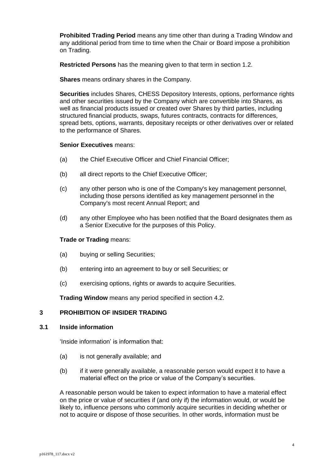**Prohibited Trading Period** means any time other than during a Trading Window and any additional period from time to time when the Chair or Board impose a prohibition on Trading.

**Restricted Persons** has the meaning given to that term in section [1.2.](#page-1-0)

**Shares** means ordinary shares in the Company.

**Securities** includes Shares, CHESS Depository Interests, options, performance rights and other securities issued by the Company which are convertible into Shares, as well as financial products issued or created over Shares by third parties, including structured financial products, swaps, futures contracts, contracts for differences, spread bets, options, warrants, depositary receipts or other derivatives over or related to the performance of Shares.

## **Senior Executives** means:

- (a) the Chief Executive Officer and Chief Financial Officer;
- (b) all direct reports to the Chief Executive Officer;
- (c) any other person who is one of the Company's key management personnel, including those persons identified as key management personnel in the Company's most recent Annual Report; and
- (d) any other Employee who has been notified that the Board designates them as a Senior Executive for the purposes of this Policy.

#### **Trade or Trading** means:

- (a) buying or selling Securities;
- (b) entering into an agreement to buy or sell Securities; or
- (c) exercising options, rights or awards to acquire Securities.

**Trading Window** means any period specified in section [4.2.](#page-5-0)

# **3 PROHIBITION OF INSIDER TRADING**

#### **3.1 Inside information**

'Inside information' is information that:

- (a) is not generally available; and
- (b) if it were generally available, a reasonable person would expect it to have a material effect on the price or value of the Company's securities.

A reasonable person would be taken to expect information to have a material effect on the price or value of securities if (and only if) the information would, or would be likely to, influence persons who commonly acquire securities in deciding whether or not to acquire or dispose of those securities. In other words, information must be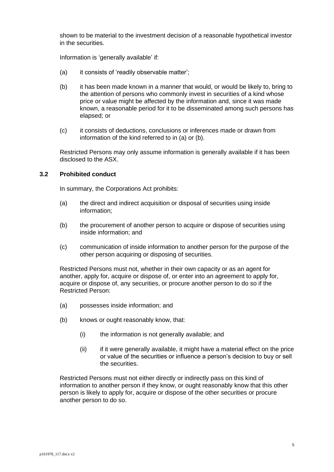shown to be material to the investment decision of a reasonable hypothetical investor in the securities.

Information is 'generally available' if:

- (a) it consists of 'readily observable matter';
- (b) it has been made known in a manner that would, or would be likely to, bring to the attention of persons who commonly invest in securities of a kind whose price or value might be affected by the information and, since it was made known, a reasonable period for it to be disseminated among such persons has elapsed; or
- (c) it consists of deductions, conclusions or inferences made or drawn from information of the kind referred to in (a) or (b).

Restricted Persons may only assume information is generally available if it has been disclosed to the ASX.

#### **3.2 Prohibited conduct**

In summary, the Corporations Act prohibits:

- (a) the direct and indirect acquisition or disposal of securities using inside information;
- (b) the procurement of another person to acquire or dispose of securities using inside information; and
- (c) communication of inside information to another person for the purpose of the other person acquiring or disposing of securities.

Restricted Persons must not, whether in their own capacity or as an agent for another, apply for, acquire or dispose of, or enter into an agreement to apply for, acquire or dispose of, any securities, or procure another person to do so if the Restricted Person:

- (a) possesses inside information; and
- (b) knows or ought reasonably know, that:
	- (i) the information is not generally available; and
	- (ii) if it were generally available, it might have a material effect on the price or value of the securities or influence a person's decision to buy or sell the securities.

Restricted Persons must not either directly or indirectly pass on this kind of information to another person if they know, or ought reasonably know that this other person is likely to apply for, acquire or dispose of the other securities or procure another person to do so.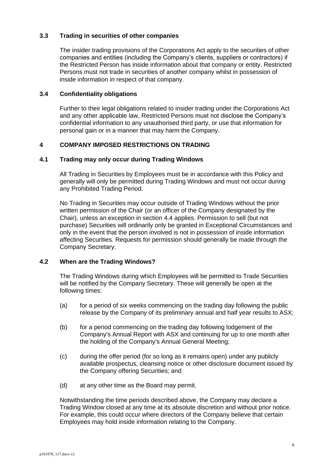# **3.3 Trading in securities of other companies**

The insider trading provisions of the Corporations Act apply to the securities of other companies and entities (including the Company's clients, suppliers or contractors) if the Restricted Person has inside information about that company or entity. Restricted Persons must not trade in securities of another company whilst in possession of inside information in respect of that company.

# **3.4 Confidentiality obligations**

Further to their legal obligations related to insider trading under the Corporations Act and any other applicable law, Restricted Persons must not disclose the Company's confidential information to any unauthorised third party, or use that information for personal gain or in a manner that may harm the Company.

# **4 COMPANY IMPOSED RESTRICTIONS ON TRADING**

### **4.1 Trading may only occur during Trading Windows**

All Trading in Securities by Employees must be in accordance with this Policy and generally will only be permitted during Trading Windows and must not occur during any Prohibited Trading Period.

No Trading in Securities may occur outside of Trading Windows without the prior written permission of the Chair (or an officer of the Company designated by the Chair), unless an exception in section [4.4](#page-6-0) applies. Permission to sell (but not purchase) Securities will ordinarily only be granted in Exceptional Circumstances and only in the event that the person involved is not in possession of inside information affecting Securities. Requests for permission should generally be made through the Company Secretary.

# <span id="page-5-0"></span>**4.2 When are the Trading Windows?**

The Trading Windows during which Employees will be permitted to Trade Securities will be notified by the Company Secretary. These will generally be open at the following times:

- (a) for a period of six weeks commencing on the trading day following the public release by the Company of its preliminary annual and half year results to ASX;
- (b) for a period commencing on the trading day following lodgement of the Company's Annual Report with ASX and continuing for up to one month after the holding of the Company's Annual General Meeting;
- (c) during the offer period (for so long as it remains open) under any publicly available prospectus, cleansing notice or other disclosure document issued by the Company offering Securities; and
- (d) at any other time as the Board may permit.

Notwithstanding the time periods described above, the Company may declare a Trading Window closed at any time at its absolute discretion and without prior notice. For example, this could occur where directors of the Company believe that certain Employees may hold inside information relating to the Company.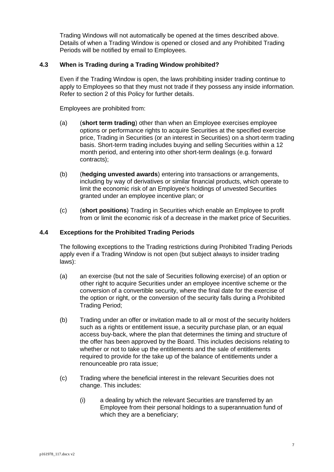Trading Windows will not automatically be opened at the times described above. Details of when a Trading Window is opened or closed and any Prohibited Trading Periods will be notified by email to Employees.

# **4.3 When is Trading during a Trading Window prohibited?**

Even if the Trading Window is open, the laws prohibiting insider trading continue to apply to Employees so that they must not trade if they possess any inside information. Refer to section [2](#page-2-0) of this Policy for further details.

Employees are prohibited from:

- (a) (**short term trading**) other than when an Employee exercises employee options or performance rights to acquire Securities at the specified exercise price, Trading in Securities (or an interest in Securities) on a short-term trading basis. Short-term trading includes buying and selling Securities within a 12 month period, and entering into other short-term dealings (e.g. forward contracts);
- (b) (**hedging unvested awards**) entering into transactions or arrangements, including by way of derivatives or similar financial products, which operate to limit the economic risk of an Employee's holdings of unvested Securities granted under an employee incentive plan; or
- (c) (**short positions**) Trading in Securities which enable an Employee to profit from or limit the economic risk of a decrease in the market price of Securities.

# <span id="page-6-0"></span>**4.4 Exceptions for the Prohibited Trading Periods**

The following exceptions to the Trading restrictions during Prohibited Trading Periods apply even if a Trading Window is not open (but subject always to insider trading laws):

- (a) an exercise (but not the sale of Securities following exercise) of an option or other right to acquire Securities under an employee incentive scheme or the conversion of a convertible security, where the final date for the exercise of the option or right, or the conversion of the security falls during a Prohibited Trading Period;
- (b) Trading under an offer or invitation made to all or most of the security holders such as a rights or entitlement issue, a security purchase plan, or an equal access buy-back, where the plan that determines the timing and structure of the offer has been approved by the Board. This includes decisions relating to whether or not to take up the entitlements and the sale of entitlements required to provide for the take up of the balance of entitlements under a renounceable pro rata issue;
- (c) Trading where the beneficial interest in the relevant Securities does not change. This includes:
	- (i) a dealing by which the relevant Securities are transferred by an Employee from their personal holdings to a superannuation fund of which they are a beneficiary;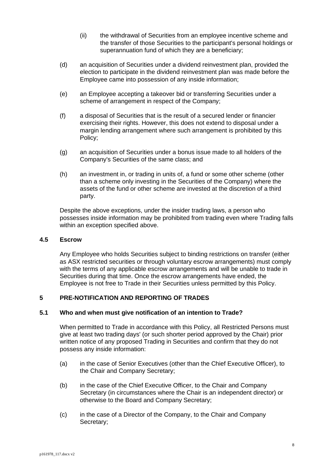- (ii) the withdrawal of Securities from an employee incentive scheme and the transfer of those Securities to the participant's personal holdings or superannuation fund of which they are a beneficiary;
- (d) an acquisition of Securities under a dividend reinvestment plan, provided the election to participate in the dividend reinvestment plan was made before the Employee came into possession of any inside information;
- (e) an Employee accepting a takeover bid or transferring Securities under a scheme of arrangement in respect of the Company;
- (f) a disposal of Securities that is the result of a secured lender or financier exercising their rights. However, this does not extend to disposal under a margin lending arrangement where such arrangement is prohibited by this Policy;
- (g) an acquisition of Securities under a bonus issue made to all holders of the Company's Securities of the same class; and
- (h) an investment in, or trading in units of, a fund or some other scheme (other than a scheme only investing in the Securities of the Company) where the assets of the fund or other scheme are invested at the discretion of a third party.

Despite the above exceptions, under the insider trading laws, a person who possesses inside information may be prohibited from trading even where Trading falls within an exception specified above.

#### **4.5 Escrow**

Any Employee who holds Securities subject to binding restrictions on transfer (either as ASX restricted securities or through voluntary escrow arrangements) must comply with the terms of any applicable escrow arrangements and will be unable to trade in Securities during that time. Once the escrow arrangements have ended, the Employee is not free to Trade in their Securities unless permitted by this Policy.

# **5 PRE-NOTIFICATION AND REPORTING OF TRADES**

### <span id="page-7-0"></span>**5.1 Who and when must give notification of an intention to Trade?**

When permitted to Trade in accordance with this Policy, all Restricted Persons must give at least two trading days' (or such shorter period approved by the Chair) prior written notice of any proposed Trading in Securities and confirm that they do not possess any inside information:

- (a) in the case of Senior Executives (other than the Chief Executive Officer), to the Chair and Company Secretary;
- (b) in the case of the Chief Executive Officer, to the Chair and Company Secretary (in circumstances where the Chair is an independent director) or otherwise to the Board and Company Secretary;
- (c) in the case of a Director of the Company, to the Chair and Company Secretary;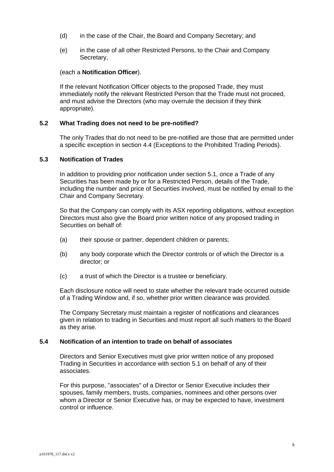- (d) in the case of the Chair, the Board and Company Secretary; and
- (e) in the case of all other Restricted Persons, to the Chair and Company Secretary,

#### (each a **Notification Officer**).

If the relevant Notification Officer objects to the proposed Trade, they must immediately notify the relevant Restricted Person that the Trade must not proceed, and must advise the Directors (who may overrule the decision if they think appropriate).

#### **5.2 What Trading does not need to be pre-notified?**

The only Trades that do not need to be pre-notified are those that are permitted under a specific exception in section [4.4](#page-6-0) (Exceptions to the Prohibited Trading Periods).

### **5.3 Notification of Trades**

In addition to providing prior notification under section [5.1,](#page-7-0) once a Trade of any Securities has been made by or for a Restricted Person, details of the Trade, including the number and price of Securities involved, must be notified by email to the Chair and Company Secretary.

So that the Company can comply with its ASX reporting obligations, without exception Directors must also give the Board prior written notice of any proposed trading in Securities on behalf of:

- (a) their spouse or partner, dependent children or parents;
- (b) any body corporate which the Director controls or of which the Director is a director; or
- (c) a trust of which the Director is a trustee or beneficiary.

Each disclosure notice will need to state whether the relevant trade occurred outside of a Trading Window and, if so, whether prior written clearance was provided.

The Company Secretary must maintain a register of notifications and clearances given in relation to trading in Securities and must report all such matters to the Board as they arise.

#### **5.4 Notification of an intention to trade on behalf of associates**

Directors and Senior Executives must give prior written notice of any proposed Trading in Securities in accordance with section [5.1](#page-7-0) on behalf of any of their associates.

For this purpose, "associates" of a Director or Senior Executive includes their spouses, family members, trusts, companies, nominees and other persons over whom a Director or Senior Executive has, or may be expected to have, investment control or influence.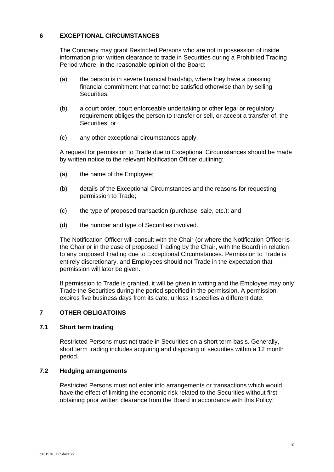# <span id="page-9-0"></span>**6 EXCEPTIONAL CIRCUMSTANCES**

The Company may grant Restricted Persons who are not in possession of inside information prior written clearance to trade in Securities during a Prohibited Trading Period where, in the reasonable opinion of the Board:

- (a) the person is in severe financial hardship, where they have a pressing financial commitment that cannot be satisfied otherwise than by selling Securities;
- (b) a court order, court enforceable undertaking or other legal or regulatory requirement obliges the person to transfer or sell, or accept a transfer of, the Securities; or
- (c) any other exceptional circumstances apply.

A request for permission to Trade due to Exceptional Circumstances should be made by written notice to the relevant Notification Officer outlining:

- (a) the name of the Employee;
- (b) details of the Exceptional Circumstances and the reasons for requesting permission to Trade;
- (c) the type of proposed transaction (purchase, sale, etc.); and
- (d) the number and type of Securities involved.

The Notification Officer will consult with the Chair (or where the Notification Officer is the Chair or in the case of proposed Trading by the Chair, with the Board) in relation to any proposed Trading due to Exceptional Circumstances. Permission to Trade is entirely discretionary, and Employees should not Trade in the expectation that permission will later be given.

If permission to Trade is granted, it will be given in writing and the Employee may only Trade the Securities during the period specified in the permission. A permission expires five business days from its date, unless it specifies a different date.

# **7 OTHER OBLIGATOINS**

# **7.1 Short term trading**

Restricted Persons must not trade in Securities on a short term basis. Generally, short term trading includes acquiring and disposing of securities within a 12 month period.

# **7.2 Hedging arrangements**

Restricted Persons must not enter into arrangements or transactions which would have the effect of limiting the economic risk related to the Securities without first obtaining prior written clearance from the Board in accordance with this Policy.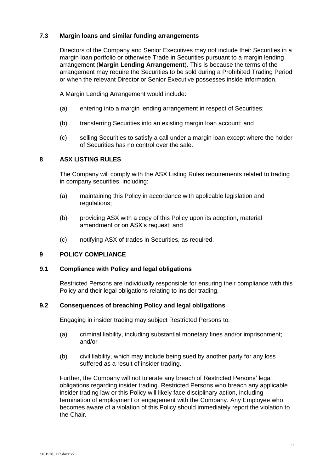# **7.3 Margin loans and similar funding arrangements**

Directors of the Company and Senior Executives may not include their Securities in a margin loan portfolio or otherwise Trade in Securities pursuant to a margin lending arrangement (**Margin Lending Arrangement**). This is because the terms of the arrangement may require the Securities to be sold during a Prohibited Trading Period or when the relevant Director or Senior Executive possesses inside information.

A Margin Lending Arrangement would include:

- (a) entering into a margin lending arrangement in respect of Securities;
- (b) transferring Securities into an existing margin loan account; and
- (c) selling Securities to satisfy a call under a margin loan except where the holder of Securities has no control over the sale.

# **8 ASX LISTING RULES**

The Company will comply with the ASX Listing Rules requirements related to trading in company securities, including:

- (a) maintaining this Policy in accordance with applicable legislation and regulations;
- (b) providing ASX with a copy of this Policy upon its adoption, material amendment or on ASX's request; and
- (c) notifying ASX of trades in Securities, as required.

# **9 POLICY COMPLIANCE**

# **9.1 Compliance with Policy and legal obligations**

Restricted Persons are individually responsible for ensuring their compliance with this Policy and their legal obligations relating to insider trading.

# **9.2 Consequences of breaching Policy and legal obligations**

Engaging in insider trading may subject Restricted Persons to:

- (a) criminal liability, including substantial monetary fines and/or imprisonment; and/or
- (b) civil liability, which may include being sued by another party for any loss suffered as a result of insider trading.

Further, the Company will not tolerate any breach of Restricted Persons' legal obligations regarding insider trading. Restricted Persons who breach any applicable insider trading law or this Policy will likely face disciplinary action, including termination of employment or engagement with the Company. Any Employee who becomes aware of a violation of this Policy should immediately report the violation to the Chair.